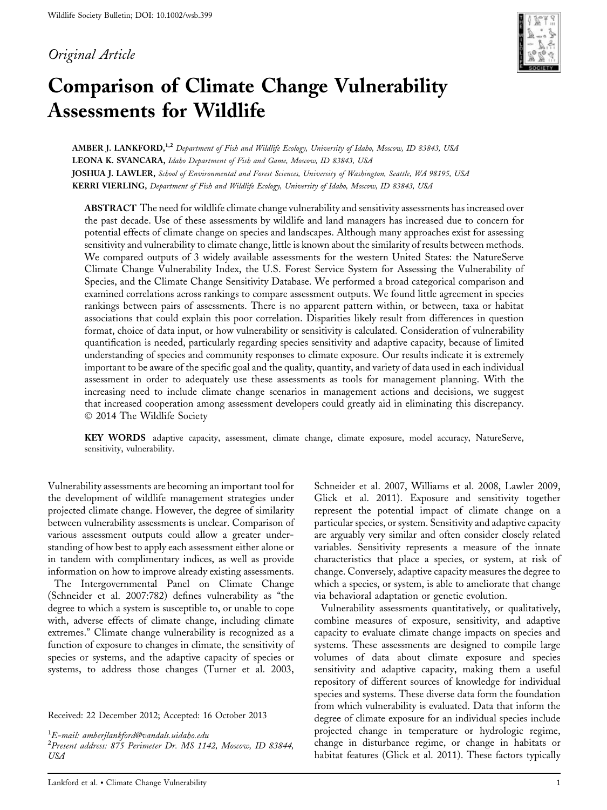# Original Article



# Comparison of Climate Change Vulnerability Assessments for Wildlife

AMBER J. LANKFORD,<sup>1,2</sup> Department of Fish and Wildlife Ecology, University of Idaho, Moscow, ID 83843, USA LEONA K. SVANCARA, Idaho Department of Fish and Game, Moscow, ID 83843, USA JOSHUA J. LAWLER, School of Environmental and Forest Sciences, University of Washington, Seattle, WA 98195, USA KERRI VIERLING, Department of Fish and Wildlife Ecology, University of Idaho, Moscow, ID 83843, USA

ABSTRACT The need for wildlife climate change vulnerability and sensitivity assessments has increased over the past decade. Use of these assessments by wildlife and land managers has increased due to concern for potential effects of climate change on species and landscapes. Although many approaches exist for assessing sensitivity and vulnerability to climate change, little is known about the similarity of results between methods. We compared outputs of 3 widely available assessments for the western United States: the NatureServe Climate Change Vulnerability Index, the U.S. Forest Service System for Assessing the Vulnerability of Species, and the Climate Change Sensitivity Database. We performed a broad categorical comparison and examined correlations across rankings to compare assessment outputs. We found little agreement in species rankings between pairs of assessments. There is no apparent pattern within, or between, taxa or habitat associations that could explain this poor correlation. Disparities likely result from differences in question format, choice of data input, or how vulnerability or sensitivity is calculated. Consideration of vulnerability quantification is needed, particularly regarding species sensitivity and adaptive capacity, because of limited understanding of species and community responses to climate exposure. Our results indicate it is extremely important to be aware of the specific goal and the quality, quantity, and variety of data used in each individual assessment in order to adequately use these assessments as tools for management planning. With the increasing need to include climate change scenarios in management actions and decisions, we suggest that increased cooperation among assessment developers could greatly aid in eliminating this discrepancy. 2014 The Wildlife Society

KEY WORDS adaptive capacity, assessment, climate change, climate exposure, model accuracy, NatureServe, sensitivity, vulnerability.

Vulnerability assessments are becoming an important tool for the development of wildlife management strategies under projected climate change. However, the degree of similarity between vulnerability assessments is unclear. Comparison of various assessment outputs could allow a greater understanding of how best to apply each assessment either alone or in tandem with complimentary indices, as well as provide information on how to improve already existing assessments.

The Intergovernmental Panel on Climate Change (Schneider et al. 2007:782) defines vulnerability as "the degree to which a system is susceptible to, or unable to cope with, adverse effects of climate change, including climate extremes." Climate change vulnerability is recognized as a function of exposure to changes in climate, the sensitivity of species or systems, and the adaptive capacity of species or systems, to address those changes (Turner et al. 2003,

Received: 22 December 2012; Accepted: 16 October 2013

Glick et al. 2011). Exposure and sensitivity together represent the potential impact of climate change on a particular species, or system. Sensitivity and adaptive capacity are arguably very similar and often consider closely related variables. Sensitivity represents a measure of the innate characteristics that place a species, or system, at risk of change. Conversely, adaptive capacity measures the degree to which a species, or system, is able to ameliorate that change via behavioral adaptation or genetic evolution. Vulnerability assessments quantitatively, or qualitatively,

Schneider et al. 2007, Williams et al. 2008, Lawler 2009,

combine measures of exposure, sensitivity, and adaptive capacity to evaluate climate change impacts on species and systems. These assessments are designed to compile large volumes of data about climate exposure and species sensitivity and adaptive capacity, making them a useful repository of different sources of knowledge for individual species and systems. These diverse data form the foundation from which vulnerability is evaluated. Data that inform the degree of climate exposure for an individual species include projected change in temperature or hydrologic regime, change in disturbance regime, or change in habitats or habitat features (Glick et al. 2011). These factors typically

 $^1$ E-mail: amberjlankford@vandals.uidaho.edu

<sup>&</sup>lt;sup>2</sup>Present address: 875 Perimeter Dr. MS 1142, Moscow, ID 83844, USA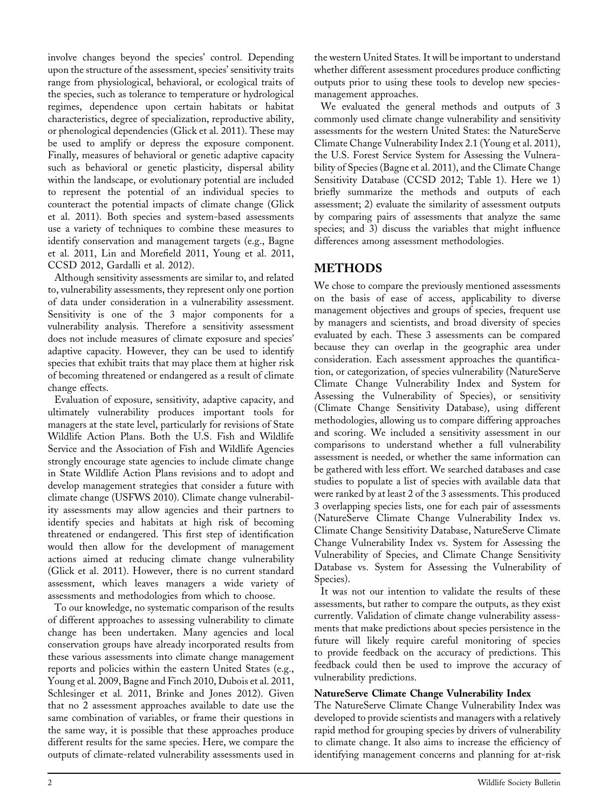involve changes beyond the species' control. Depending upon the structure of the assessment, species' sensitivity traits range from physiological, behavioral, or ecological traits of the species, such as tolerance to temperature or hydrological regimes, dependence upon certain habitats or habitat characteristics, degree of specialization, reproductive ability, or phenological dependencies (Glick et al. 2011). These may be used to amplify or depress the exposure component. Finally, measures of behavioral or genetic adaptive capacity such as behavioral or genetic plasticity, dispersal ability within the landscape, or evolutionary potential are included to represent the potential of an individual species to counteract the potential impacts of climate change (Glick et al. 2011). Both species and system-based assessments use a variety of techniques to combine these measures to identify conservation and management targets (e.g., Bagne et al. 2011, Lin and Morefield 2011, Young et al. 2011, CCSD 2012, Gardalli et al. 2012).

Although sensitivity assessments are similar to, and related to, vulnerability assessments, they represent only one portion of data under consideration in a vulnerability assessment. Sensitivity is one of the 3 major components for a vulnerability analysis. Therefore a sensitivity assessment does not include measures of climate exposure and species' adaptive capacity. However, they can be used to identify species that exhibit traits that may place them at higher risk of becoming threatened or endangered as a result of climate change effects.

Evaluation of exposure, sensitivity, adaptive capacity, and ultimately vulnerability produces important tools for managers at the state level, particularly for revisions of State Wildlife Action Plans. Both the U.S. Fish and Wildlife Service and the Association of Fish and Wildlife Agencies strongly encourage state agencies to include climate change in State Wildlife Action Plans revisions and to adopt and develop management strategies that consider a future with climate change (USFWS 2010). Climate change vulnerability assessments may allow agencies and their partners to identify species and habitats at high risk of becoming threatened or endangered. This first step of identification would then allow for the development of management actions aimed at reducing climate change vulnerability (Glick et al. 2011). However, there is no current standard assessment, which leaves managers a wide variety of assessments and methodologies from which to choose.

To our knowledge, no systematic comparison of the results of different approaches to assessing vulnerability to climate change has been undertaken. Many agencies and local conservation groups have already incorporated results from these various assessments into climate change management reports and policies within the eastern United States (e.g., Young et al. 2009, Bagne and Finch 2010, Dubois et al. 2011, Schlesinger et al. 2011, Brinke and Jones 2012). Given that no 2 assessment approaches available to date use the same combination of variables, or frame their questions in the same way, it is possible that these approaches produce different results for the same species. Here, we compare the outputs of climate-related vulnerability assessments used in

the western United States. It will be important to understand whether different assessment procedures produce conflicting outputs prior to using these tools to develop new speciesmanagement approaches.

We evaluated the general methods and outputs of 3 commonly used climate change vulnerability and sensitivity assessments for the western United States: the NatureServe Climate Change Vulnerability Index 2.1 (Young et al. 2011), the U.S. Forest Service System for Assessing the Vulnerability of Species (Bagne et al. 2011), and the Climate Change Sensitivity Database (CCSD 2012; Table 1). Here we 1) briefly summarize the methods and outputs of each assessment; 2) evaluate the similarity of assessment outputs by comparing pairs of assessments that analyze the same species; and 3) discuss the variables that might influence differences among assessment methodologies.

# METHODS

We chose to compare the previously mentioned assessments on the basis of ease of access, applicability to diverse management objectives and groups of species, frequent use by managers and scientists, and broad diversity of species evaluated by each. These 3 assessments can be compared because they can overlap in the geographic area under consideration. Each assessment approaches the quantification, or categorization, of species vulnerability (NatureServe Climate Change Vulnerability Index and System for Assessing the Vulnerability of Species), or sensitivity (Climate Change Sensitivity Database), using different methodologies, allowing us to compare differing approaches and scoring. We included a sensitivity assessment in our comparisons to understand whether a full vulnerability assessment is needed, or whether the same information can be gathered with less effort. We searched databases and case studies to populate a list of species with available data that were ranked by at least 2 of the 3 assessments. This produced 3 overlapping species lists, one for each pair of assessments (NatureServe Climate Change Vulnerability Index vs. Climate Change Sensitivity Database, NatureServe Climate Change Vulnerability Index vs. System for Assessing the Vulnerability of Species, and Climate Change Sensitivity Database vs. System for Assessing the Vulnerability of Species).

It was not our intention to validate the results of these assessments, but rather to compare the outputs, as they exist currently. Validation of climate change vulnerability assessments that make predictions about species persistence in the future will likely require careful monitoring of species to provide feedback on the accuracy of predictions. This feedback could then be used to improve the accuracy of vulnerability predictions.

## NatureServe Climate Change Vulnerability Index

The NatureServe Climate Change Vulnerability Index was developed to provide scientists and managers with a relatively rapid method for grouping species by drivers of vulnerability to climate change. It also aims to increase the efficiency of identifying management concerns and planning for at-risk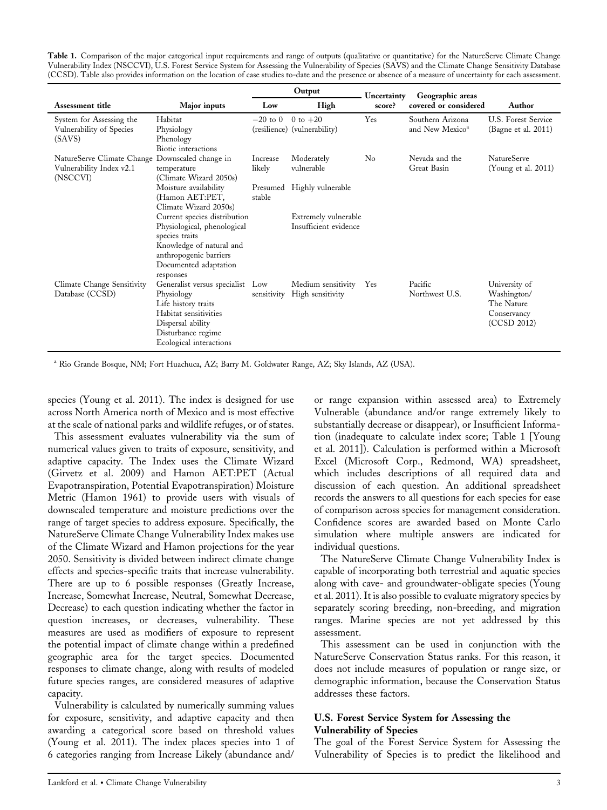Table 1. Comparison of the major categorical input requirements and range of outputs (qualitative or quantitative) for the NatureServe Climate Change Vulnerability Index (NSCCVI), U.S. Forest Service System for Assessing the Vulnerability of Species (SAVS) and the Climate Change Sensitivity Database (CCSD). Table also provides information on the location of case studies to-date and the presence or absence of a measure of uncertainty for each assessment.

|                                                                    |                                                                                                                                                                           | Output             |                                               | Uncertainty | Geographic areas                                |                                                                          |
|--------------------------------------------------------------------|---------------------------------------------------------------------------------------------------------------------------------------------------------------------------|--------------------|-----------------------------------------------|-------------|-------------------------------------------------|--------------------------------------------------------------------------|
| Assessment title                                                   | Major inputs                                                                                                                                                              | Low                | High                                          | score?      | covered or considered                           | Author                                                                   |
| System for Assessing the<br>Vulnerability of Species<br>(SAVS)     | Habitat<br>Physiology<br>Phenology<br>Biotic interactions                                                                                                                 | $-20$ to $0$       | 0 to $+20$<br>(resilience) (vulnerability)    | Yes         | Southern Arizona<br>and New Mexico <sup>a</sup> | U.S. Forest Service<br>(Bagne et al. 2011)                               |
| NatureServe Climate Change<br>Vulnerability Index v2.1<br>(NSCCVI) | Downscaled change in<br>temperature<br>(Climate Wizard 2050s)                                                                                                             | Increase<br>likely | Moderately<br>vulnerable                      | $\rm No$    | Nevada and the<br>Great Basin                   | <b>NatureServe</b><br>(Young et al. 2011)                                |
|                                                                    | Moisture availability<br>(Hamon AET:PET,<br>Climate Wizard 2050s)                                                                                                         | Presumed<br>stable | Highly vulnerable                             |             |                                                 |                                                                          |
|                                                                    | Current species distribution<br>Physiological, phenological<br>species traits<br>Knowledge of natural and<br>anthropogenic barriers<br>Documented adaptation<br>responses |                    | Extremely vulnerable<br>Insufficient evidence |             |                                                 |                                                                          |
| Climate Change Sensitivity<br>Database (CCSD)                      | Generalist versus specialist Low<br>Physiology<br>Life history traits<br>Habitat sensitivities<br>Dispersal ability<br>Disturbance regime<br>Ecological interactions      | sensitivity        | Medium sensitivity<br>High sensitivity        | Yes         | Pacific<br>Northwest U.S.                       | University of<br>Washington/<br>The Nature<br>Conservancy<br>(CCSD 2012) |

<sup>a</sup> Rio Grande Bosque, NM; Fort Huachuca, AZ; Barry M. Goldwater Range, AZ; Sky Islands, AZ (USA).

species (Young et al. 2011). The index is designed for use across North America north of Mexico and is most effective at the scale of national parks and wildlife refuges, or of states.

This assessment evaluates vulnerability via the sum of numerical values given to traits of exposure, sensitivity, and adaptive capacity. The Index uses the Climate Wizard (Girvetz et al. 2009) and Hamon AET:PET (Actual Evapotranspiration, Potential Evapotranspiration) Moisture Metric (Hamon 1961) to provide users with visuals of downscaled temperature and moisture predictions over the range of target species to address exposure. Specifically, the NatureServe Climate Change Vulnerability Index makes use of the Climate Wizard and Hamon projections for the year 2050. Sensitivity is divided between indirect climate change effects and species-specific traits that increase vulnerability. There are up to 6 possible responses (Greatly Increase, Increase, Somewhat Increase, Neutral, Somewhat Decrease, Decrease) to each question indicating whether the factor in question increases, or decreases, vulnerability. These measures are used as modifiers of exposure to represent the potential impact of climate change within a predefined geographic area for the target species. Documented responses to climate change, along with results of modeled future species ranges, are considered measures of adaptive capacity.

Vulnerability is calculated by numerically summing values for exposure, sensitivity, and adaptive capacity and then awarding a categorical score based on threshold values (Young et al. 2011). The index places species into 1 of 6 categories ranging from Increase Likely (abundance and/

or range expansion within assessed area) to Extremely Vulnerable (abundance and/or range extremely likely to substantially decrease or disappear), or Insufficient Information (inadequate to calculate index score; Table 1 [Young et al. 2011]). Calculation is performed within a Microsoft Excel (Microsoft Corp., Redmond, WA) spreadsheet, which includes descriptions of all required data and discussion of each question. An additional spreadsheet records the answers to all questions for each species for ease of comparison across species for management consideration. Confidence scores are awarded based on Monte Carlo simulation where multiple answers are indicated for individual questions.

The NatureServe Climate Change Vulnerability Index is capable of incorporating both terrestrial and aquatic species along with cave- and groundwater-obligate species (Young et al. 2011). It is also possible to evaluate migratory species by separately scoring breeding, non-breeding, and migration ranges. Marine species are not yet addressed by this assessment.

This assessment can be used in conjunction with the NatureServe Conservation Status ranks. For this reason, it does not include measures of population or range size, or demographic information, because the Conservation Status addresses these factors.

#### U.S. Forest Service System for Assessing the Vulnerability of Species

The goal of the Forest Service System for Assessing the Vulnerability of Species is to predict the likelihood and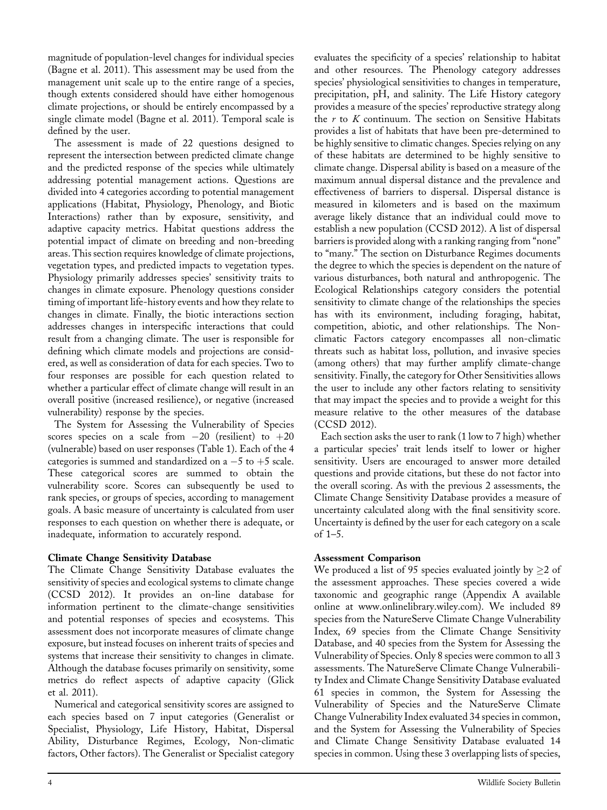magnitude of population-level changes for individual species (Bagne et al. 2011). This assessment may be used from the management unit scale up to the entire range of a species, though extents considered should have either homogenous climate projections, or should be entirely encompassed by a single climate model (Bagne et al. 2011). Temporal scale is defined by the user.

The assessment is made of 22 questions designed to represent the intersection between predicted climate change and the predicted response of the species while ultimately addressing potential management actions. Questions are divided into 4 categories according to potential management applications (Habitat, Physiology, Phenology, and Biotic Interactions) rather than by exposure, sensitivity, and adaptive capacity metrics. Habitat questions address the potential impact of climate on breeding and non-breeding areas. This section requires knowledge of climate projections, vegetation types, and predicted impacts to vegetation types. Physiology primarily addresses species' sensitivity traits to changes in climate exposure. Phenology questions consider timing of important life-history events and how they relate to changes in climate. Finally, the biotic interactions section addresses changes in interspecific interactions that could result from a changing climate. The user is responsible for defining which climate models and projections are considered, as well as consideration of data for each species. Two to four responses are possible for each question related to whether a particular effect of climate change will result in an overall positive (increased resilience), or negative (increased vulnerability) response by the species.

The System for Assessing the Vulnerability of Species scores species on a scale from  $-20$  (resilient) to  $+20$ (vulnerable) based on user responses (Table 1). Each of the 4 categories is summed and standardized on a  $-5$  to  $+5$  scale. These categorical scores are summed to obtain the vulnerability score. Scores can subsequently be used to rank species, or groups of species, according to management goals. A basic measure of uncertainty is calculated from user responses to each question on whether there is adequate, or inadequate, information to accurately respond.

## Climate Change Sensitivity Database

The Climate Change Sensitivity Database evaluates the sensitivity of species and ecological systems to climate change (CCSD 2012). It provides an on-line database for information pertinent to the climate-change sensitivities and potential responses of species and ecosystems. This assessment does not incorporate measures of climate change exposure, but instead focuses on inherent traits of species and systems that increase their sensitivity to changes in climate. Although the database focuses primarily on sensitivity, some metrics do reflect aspects of adaptive capacity (Glick et al. 2011).

Numerical and categorical sensitivity scores are assigned to each species based on 7 input categories (Generalist or Specialist, Physiology, Life History, Habitat, Dispersal Ability, Disturbance Regimes, Ecology, Non-climatic factors, Other factors). The Generalist or Specialist category evaluates the specificity of a species' relationship to habitat and other resources. The Phenology category addresses species' physiological sensitivities to changes in temperature, precipitation, pH, and salinity. The Life History category provides a measure of the species' reproductive strategy along the  $r$  to  $K$  continuum. The section on Sensitive Habitats provides a list of habitats that have been pre-determined to be highly sensitive to climatic changes. Species relying on any of these habitats are determined to be highly sensitive to climate change. Dispersal ability is based on a measure of the maximum annual dispersal distance and the prevalence and effectiveness of barriers to dispersal. Dispersal distance is measured in kilometers and is based on the maximum average likely distance that an individual could move to establish a new population (CCSD 2012). A list of dispersal barriers is provided along with a ranking ranging from "none" to "many." The section on Disturbance Regimes documents the degree to which the species is dependent on the nature of various disturbances, both natural and anthropogenic. The Ecological Relationships category considers the potential sensitivity to climate change of the relationships the species has with its environment, including foraging, habitat, competition, abiotic, and other relationships. The Nonclimatic Factors category encompasses all non-climatic threats such as habitat loss, pollution, and invasive species (among others) that may further amplify climate-change sensitivity. Finally, the category for Other Sensitivities allows the user to include any other factors relating to sensitivity that may impact the species and to provide a weight for this measure relative to the other measures of the database (CCSD 2012).

Each section asks the user to rank (1 low to 7 high) whether a particular species' trait lends itself to lower or higher sensitivity. Users are encouraged to answer more detailed questions and provide citations, but these do not factor into the overall scoring. As with the previous 2 assessments, the Climate Change Sensitivity Database provides a measure of uncertainty calculated along with the final sensitivity score. Uncertainty is defined by the user for each category on a scale of 1–5.

## Assessment Comparison

We produced a list of 95 species evaluated jointly by  $\geq$  2 of the assessment approaches. These species covered a wide taxonomic and geographic range (Appendix A available online at [www.onlinelibrary.wiley.com\)](http://www.onlinelibrary.wiley.com/). We included 89 species from the NatureServe Climate Change Vulnerability Index, 69 species from the Climate Change Sensitivity Database, and 40 species from the System for Assessing the Vulnerability of Species. Only 8 species were common to all 3 assessments. The NatureServe Climate Change Vulnerability Index and Climate Change Sensitivity Database evaluated 61 species in common, the System for Assessing the Vulnerability of Species and the NatureServe Climate Change Vulnerability Index evaluated 34 species in common, and the System for Assessing the Vulnerability of Species and Climate Change Sensitivity Database evaluated 14 species in common. Using these 3 overlapping lists of species,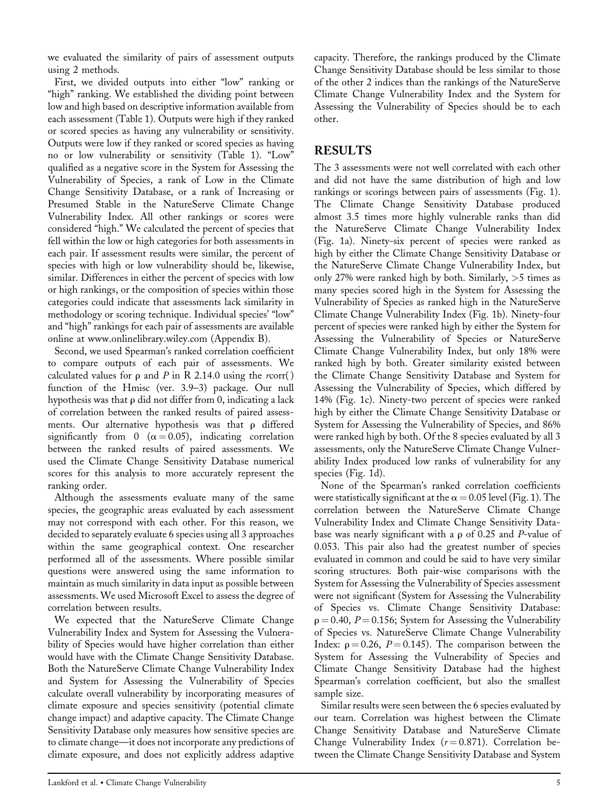we evaluated the similarity of pairs of assessment outputs using 2 methods.

First, we divided outputs into either "low" ranking or "high" ranking. We established the dividing point between low and high based on descriptive information available from each assessment (Table 1). Outputs were high if they ranked or scored species as having any vulnerability or sensitivity. Outputs were low if they ranked or scored species as having no or low vulnerability or sensitivity (Table 1). "Low" qualified as a negative score in the System for Assessing the Vulnerability of Species, a rank of Low in the Climate Change Sensitivity Database, or a rank of Increasing or Presumed Stable in the NatureServe Climate Change Vulnerability Index. All other rankings or scores were considered "high." We calculated the percent of species that fell within the low or high categories for both assessments in each pair. If assessment results were similar, the percent of species with high or low vulnerability should be, likewise, similar. Differences in either the percent of species with low or high rankings, or the composition of species within those categories could indicate that assessments lack similarity in methodology or scoring technique. Individual species' "low" and "high" rankings for each pair of assessments are available online at [www.onlinelibrary.wiley.com](http://www.onlinelibrary.wiley.com/) (Appendix B).

Second, we used Spearman's ranked correlation coefficient to compare outputs of each pair of assessments. We calculated values for  $\rho$  and  $P$  in R 2.14.0 using the  $rcorr()$ function of the Hmisc (ver. 3.9–3) package. Our null hypothesis was that  $\rho$  did not differ from 0, indicating a lack of correlation between the ranked results of paired assessments. Our alternative hypothesis was that  $\rho$  differed significantly from 0 ( $\alpha = 0.05$ ), indicating correlation between the ranked results of paired assessments. We used the Climate Change Sensitivity Database numerical scores for this analysis to more accurately represent the ranking order.

Although the assessments evaluate many of the same species, the geographic areas evaluated by each assessment may not correspond with each other. For this reason, we decided to separately evaluate 6 species using all 3 approaches within the same geographical context. One researcher performed all of the assessments. Where possible similar questions were answered using the same information to maintain as much similarity in data input as possible between assessments. We used Microsoft Excel to assess the degree of correlation between results.

We expected that the NatureServe Climate Change Vulnerability Index and System for Assessing the Vulnerability of Species would have higher correlation than either would have with the Climate Change Sensitivity Database. Both the NatureServe Climate Change Vulnerability Index and System for Assessing the Vulnerability of Species calculate overall vulnerability by incorporating measures of climate exposure and species sensitivity (potential climate change impact) and adaptive capacity. The Climate Change Sensitivity Database only measures how sensitive species are to climate change—it does not incorporate any predictions of climate exposure, and does not explicitly address adaptive

capacity. Therefore, the rankings produced by the Climate Change Sensitivity Database should be less similar to those of the other 2 indices than the rankings of the NatureServe Climate Change Vulnerability Index and the System for Assessing the Vulnerability of Species should be to each other.

# RESULTS

The 3 assessments were not well correlated with each other and did not have the same distribution of high and low rankings or scorings between pairs of assessments (Fig. 1). The Climate Change Sensitivity Database produced almost 3.5 times more highly vulnerable ranks than did the NatureServe Climate Change Vulnerability Index (Fig. 1a). Ninety-six percent of species were ranked as high by either the Climate Change Sensitivity Database or the NatureServe Climate Change Vulnerability Index, but only 27% were ranked high by both. Similarly,  $>5$  times as many species scored high in the System for Assessing the Vulnerability of Species as ranked high in the NatureServe Climate Change Vulnerability Index (Fig. 1b). Ninety-four percent of species were ranked high by either the System for Assessing the Vulnerability of Species or NatureServe Climate Change Vulnerability Index, but only 18% were ranked high by both. Greater similarity existed between the Climate Change Sensitivity Database and System for Assessing the Vulnerability of Species, which differed by 14% (Fig. 1c). Ninety-two percent of species were ranked high by either the Climate Change Sensitivity Database or System for Assessing the Vulnerability of Species, and 86% were ranked high by both. Of the 8 species evaluated by all 3 assessments, only the NatureServe Climate Change Vulnerability Index produced low ranks of vulnerability for any species (Fig. 1d).

None of the Spearman's ranked correlation coefficients were statistically significant at the  $\alpha = 0.05$  level (Fig. 1). The correlation between the NatureServe Climate Change Vulnerability Index and Climate Change Sensitivity Database was nearly significant with a  $\rho$  of 0.25 and P-value of 0.053. This pair also had the greatest number of species evaluated in common and could be said to have very similar scoring structures. Both pair-wise comparisons with the System for Assessing the Vulnerability of Species assessment were not significant (System for Assessing the Vulnerability of Species vs. Climate Change Sensitivity Database:  $p = 0.40$ ,  $P = 0.156$ ; System for Assessing the Vulnerability of Species vs. NatureServe Climate Change Vulnerability Index:  $\rho = 0.26$ ,  $P = 0.145$ ). The comparison between the System for Assessing the Vulnerability of Species and Climate Change Sensitivity Database had the highest Spearman's correlation coefficient, but also the smallest sample size.

Similar results were seen between the 6 species evaluated by our team. Correlation was highest between the Climate Change Sensitivity Database and NatureServe Climate Change Vulnerability Index  $(r=0.871)$ . Correlation between the Climate Change Sensitivity Database and System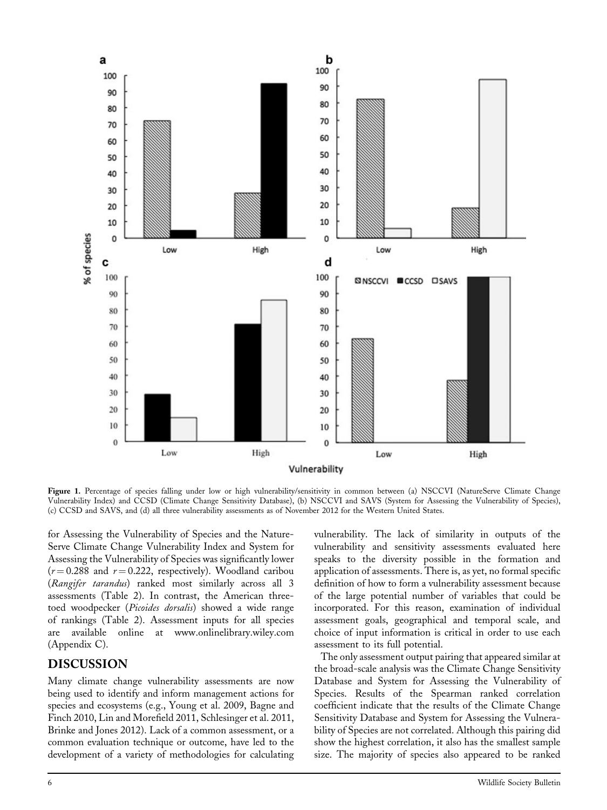

Figure 1. Percentage of species falling under low or high vulnerability/sensitivity in common between (a) NSCCVI (NatureServe Climate Change Vulnerability Index) and CCSD (Climate Change Sensitivity Database), (b) NSCCVI and SAVS (System for Assessing the Vulnerability of Species), (c) CCSD and SAVS, and (d) all three vulnerability assessments as of November 2012 for the Western United States.

for Assessing the Vulnerability of Species and the Nature-Serve Climate Change Vulnerability Index and System for Assessing the Vulnerability of Species was significantly lower  $(r=0.288$  and  $r=0.222$ , respectively). Woodland caribou (Rangifer tarandus) ranked most similarly across all 3 assessments (Table 2). In contrast, the American threetoed woodpecker (Picoides dorsalis) showed a wide range of rankings (Table 2). Assessment inputs for all species are available online at [www.onlinelibrary.wiley.com](http://www.onlinelibrary.wiley.com/) (Appendix C).

# DISCUSSION

Many climate change vulnerability assessments are now being used to identify and inform management actions for species and ecosystems (e.g., Young et al. 2009, Bagne and Finch 2010, Lin and Morefield 2011, Schlesinger et al. 2011, Brinke and Jones 2012). Lack of a common assessment, or a common evaluation technique or outcome, have led to the development of a variety of methodologies for calculating vulnerability. The lack of similarity in outputs of the vulnerability and sensitivity assessments evaluated here speaks to the diversity possible in the formation and application of assessments. There is, as yet, no formal specific definition of how to form a vulnerability assessment because of the large potential number of variables that could be incorporated. For this reason, examination of individual assessment goals, geographical and temporal scale, and choice of input information is critical in order to use each assessment to its full potential.

The only assessment output pairing that appeared similar at the broad-scale analysis was the Climate Change Sensitivity Database and System for Assessing the Vulnerability of Species. Results of the Spearman ranked correlation coefficient indicate that the results of the Climate Change Sensitivity Database and System for Assessing the Vulnerability of Species are not correlated. Although this pairing did show the highest correlation, it also has the smallest sample size. The majority of species also appeared to be ranked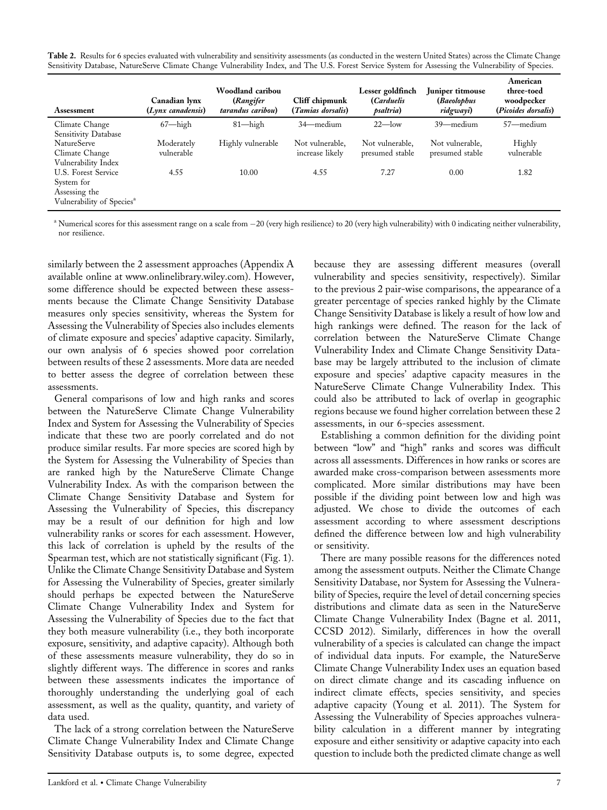Table 2. Results for 6 species evaluated with vulnerability and sensitivity assessments (as conducted in the western United States) across the Climate Change Sensitivity Database, NatureServe Climate Change Vulnerability Index, and The U.S. Forest Service System for Assessing the Vulnerability of Species.

| Assessment                            | Canadian lynx<br>(Lynx canadensis) | Woodland caribou<br>(Rangifer<br>tarandus caribou) | Cliff chipmunk<br>(Tamias dorsalis) | Lesser goldfinch<br><i>(Carduelis</i><br><i>psaltria</i> ) | Juniper titmouse<br><i>(Baeolophus</i><br>ridgwayi) | American<br>three-toed<br>woodpecker<br>(Picoides dorsalis) |
|---------------------------------------|------------------------------------|----------------------------------------------------|-------------------------------------|------------------------------------------------------------|-----------------------------------------------------|-------------------------------------------------------------|
| Climate Change                        | $67$ —high                         | $81$ —high                                         | 34—medium                           | $22$ —low                                                  | 39—medium                                           | 57—medium                                                   |
| Sensitivity Database                  |                                    |                                                    |                                     |                                                            |                                                     |                                                             |
| <b>NatureServe</b>                    | Moderately                         | Highly vulnerable                                  | Not vulnerable,                     | Not vulnerable.                                            | Not vulnerable,                                     | Highly                                                      |
| Climate Change                        | vulnerable                         |                                                    | increase likely                     | presumed stable                                            | presumed stable                                     | vulnerable                                                  |
| Vulnerability Index                   |                                    |                                                    |                                     |                                                            |                                                     |                                                             |
| U.S. Forest Service                   | 4.55                               | 10.00                                              | 4.55                                | 7.27                                                       | 0.00                                                | 1.82                                                        |
| System for                            |                                    |                                                    |                                     |                                                            |                                                     |                                                             |
| Assessing the                         |                                    |                                                    |                                     |                                                            |                                                     |                                                             |
| Vulnerability of Species <sup>a</sup> |                                    |                                                    |                                     |                                                            |                                                     |                                                             |
|                                       |                                    |                                                    |                                     |                                                            |                                                     |                                                             |

<sup>a</sup> Numerical scores for this assessment range on a scale from -20 (very high resilience) to 20 (very high vulnerability) with 0 indicating neither vulnerability, nor resilience.

similarly between the 2 assessment approaches (Appendix A available online at [www.onlinelibrary.wiley.com\)](http://www.onlinelibrary.wiley.com/). However, some difference should be expected between these assessments because the Climate Change Sensitivity Database measures only species sensitivity, whereas the System for Assessing the Vulnerability of Species also includes elements of climate exposure and species' adaptive capacity. Similarly, our own analysis of 6 species showed poor correlation between results of these 2 assessments. More data are needed to better assess the degree of correlation between these assessments.

General comparisons of low and high ranks and scores between the NatureServe Climate Change Vulnerability Index and System for Assessing the Vulnerability of Species indicate that these two are poorly correlated and do not produce similar results. Far more species are scored high by the System for Assessing the Vulnerability of Species than are ranked high by the NatureServe Climate Change Vulnerability Index. As with the comparison between the Climate Change Sensitivity Database and System for Assessing the Vulnerability of Species, this discrepancy may be a result of our definition for high and low vulnerability ranks or scores for each assessment. However, this lack of correlation is upheld by the results of the Spearman test, which are not statistically significant (Fig. 1). Unlike the Climate Change Sensitivity Database and System for Assessing the Vulnerability of Species, greater similarly should perhaps be expected between the NatureServe Climate Change Vulnerability Index and System for Assessing the Vulnerability of Species due to the fact that they both measure vulnerability (i.e., they both incorporate exposure, sensitivity, and adaptive capacity). Although both of these assessments measure vulnerability, they do so in slightly different ways. The difference in scores and ranks between these assessments indicates the importance of thoroughly understanding the underlying goal of each assessment, as well as the quality, quantity, and variety of data used.

The lack of a strong correlation between the NatureServe Climate Change Vulnerability Index and Climate Change Sensitivity Database outputs is, to some degree, expected because they are assessing different measures (overall vulnerability and species sensitivity, respectively). Similar to the previous 2 pair-wise comparisons, the appearance of a greater percentage of species ranked highly by the Climate Change Sensitivity Database is likely a result of how low and high rankings were defined. The reason for the lack of correlation between the NatureServe Climate Change Vulnerability Index and Climate Change Sensitivity Database may be largely attributed to the inclusion of climate exposure and species' adaptive capacity measures in the NatureServe Climate Change Vulnerability Index. This could also be attributed to lack of overlap in geographic regions because we found higher correlation between these 2 assessments, in our 6-species assessment.

Establishing a common definition for the dividing point between "low" and "high" ranks and scores was difficult across all assessments. Differences in how ranks or scores are awarded make cross-comparison between assessments more complicated. More similar distributions may have been possible if the dividing point between low and high was adjusted. We chose to divide the outcomes of each assessment according to where assessment descriptions defined the difference between low and high vulnerability or sensitivity.

There are many possible reasons for the differences noted among the assessment outputs. Neither the Climate Change Sensitivity Database, nor System for Assessing the Vulnerability of Species, require the level of detail concerning species distributions and climate data as seen in the NatureServe Climate Change Vulnerability Index (Bagne et al. 2011, CCSD 2012). Similarly, differences in how the overall vulnerability of a species is calculated can change the impact of individual data inputs. For example, the NatureServe Climate Change Vulnerability Index uses an equation based on direct climate change and its cascading influence on indirect climate effects, species sensitivity, and species adaptive capacity (Young et al. 2011). The System for Assessing the Vulnerability of Species approaches vulnerability calculation in a different manner by integrating exposure and either sensitivity or adaptive capacity into each question to include both the predicted climate change as well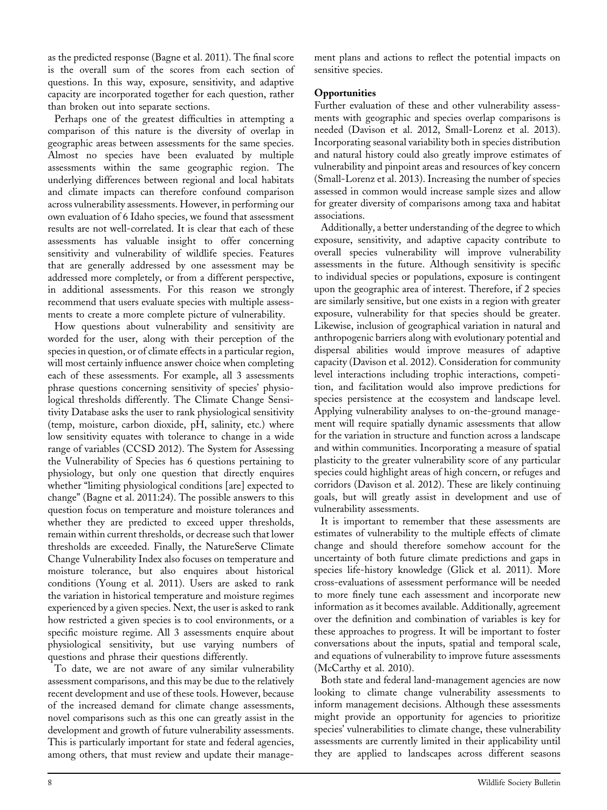as the predicted response (Bagne et al. 2011). The final score is the overall sum of the scores from each section of questions. In this way, exposure, sensitivity, and adaptive capacity are incorporated together for each question, rather than broken out into separate sections.

Perhaps one of the greatest difficulties in attempting a comparison of this nature is the diversity of overlap in geographic areas between assessments for the same species. Almost no species have been evaluated by multiple assessments within the same geographic region. The underlying differences between regional and local habitats and climate impacts can therefore confound comparison across vulnerability assessments. However, in performing our own evaluation of 6 Idaho species, we found that assessment results are not well-correlated. It is clear that each of these assessments has valuable insight to offer concerning sensitivity and vulnerability of wildlife species. Features that are generally addressed by one assessment may be addressed more completely, or from a different perspective, in additional assessments. For this reason we strongly recommend that users evaluate species with multiple assessments to create a more complete picture of vulnerability.

How questions about vulnerability and sensitivity are worded for the user, along with their perception of the species in question, or of climate effects in a particular region, will most certainly influence answer choice when completing each of these assessments. For example, all 3 assessments phrase questions concerning sensitivity of species' physiological thresholds differently. The Climate Change Sensitivity Database asks the user to rank physiological sensitivity (temp, moisture, carbon dioxide, pH, salinity, etc.) where low sensitivity equates with tolerance to change in a wide range of variables (CCSD 2012). The System for Assessing the Vulnerability of Species has 6 questions pertaining to physiology, but only one question that directly enquires whether "limiting physiological conditions [are] expected to change" (Bagne et al. 2011:24). The possible answers to this question focus on temperature and moisture tolerances and whether they are predicted to exceed upper thresholds, remain within current thresholds, or decrease such that lower thresholds are exceeded. Finally, the NatureServe Climate Change Vulnerability Index also focuses on temperature and moisture tolerance, but also enquires about historical conditions (Young et al. 2011). Users are asked to rank the variation in historical temperature and moisture regimes experienced by a given species. Next, the user is asked to rank how restricted a given species is to cool environments, or a specific moisture regime. All 3 assessments enquire about physiological sensitivity, but use varying numbers of questions and phrase their questions differently.

To date, we are not aware of any similar vulnerability assessment comparisons, and this may be due to the relatively recent development and use of these tools. However, because of the increased demand for climate change assessments, novel comparisons such as this one can greatly assist in the development and growth of future vulnerability assessments. This is particularly important for state and federal agencies, among others, that must review and update their manage-

ment plans and actions to reflect the potential impacts on sensitive species.

## **Opportunities**

Further evaluation of these and other vulnerability assessments with geographic and species overlap comparisons is needed (Davison et al. 2012, Small-Lorenz et al. 2013). Incorporating seasonal variability both in species distribution and natural history could also greatly improve estimates of vulnerability and pinpoint areas and resources of key concern (Small-Lorenz et al. 2013). Increasing the number of species assessed in common would increase sample sizes and allow for greater diversity of comparisons among taxa and habitat associations.

Additionally, a better understanding of the degree to which exposure, sensitivity, and adaptive capacity contribute to overall species vulnerability will improve vulnerability assessments in the future. Although sensitivity is specific to individual species or populations, exposure is contingent upon the geographic area of interest. Therefore, if 2 species are similarly sensitive, but one exists in a region with greater exposure, vulnerability for that species should be greater. Likewise, inclusion of geographical variation in natural and anthropogenic barriers along with evolutionary potential and dispersal abilities would improve measures of adaptive capacity (Davison et al. 2012). Consideration for community level interactions including trophic interactions, competition, and facilitation would also improve predictions for species persistence at the ecosystem and landscape level. Applying vulnerability analyses to on-the-ground management will require spatially dynamic assessments that allow for the variation in structure and function across a landscape and within communities. Incorporating a measure of spatial plasticity to the greater vulnerability score of any particular species could highlight areas of high concern, or refuges and corridors (Davison et al. 2012). These are likely continuing goals, but will greatly assist in development and use of vulnerability assessments.

It is important to remember that these assessments are estimates of vulnerability to the multiple effects of climate change and should therefore somehow account for the uncertainty of both future climate predictions and gaps in species life-history knowledge (Glick et al. 2011). More cross-evaluations of assessment performance will be needed to more finely tune each assessment and incorporate new information as it becomes available. Additionally, agreement over the definition and combination of variables is key for these approaches to progress. It will be important to foster conversations about the inputs, spatial and temporal scale, and equations of vulnerability to improve future assessments (McCarthy et al. 2010).

Both state and federal land-management agencies are now looking to climate change vulnerability assessments to inform management decisions. Although these assessments might provide an opportunity for agencies to prioritize species' vulnerabilities to climate change, these vulnerability assessments are currently limited in their applicability until they are applied to landscapes across different seasons